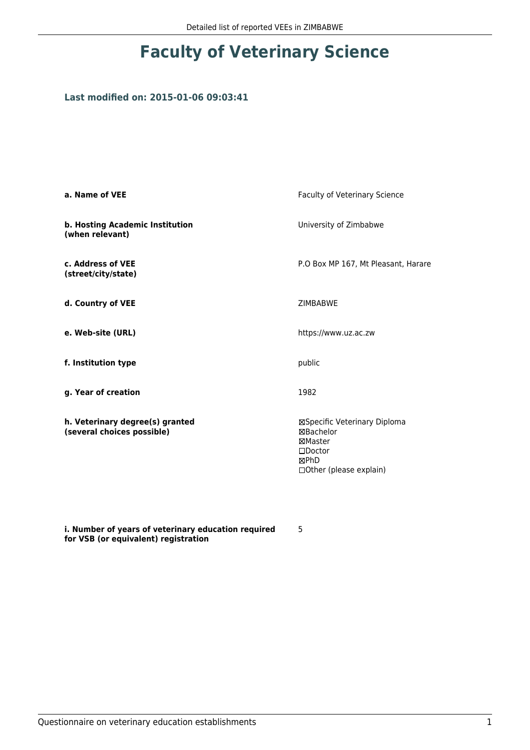## **Faculty of Veterinary Science**

## **Last modified on: 2015-01-06 09:03:41**

| a. Name of VEE                                                | Faculty of Veterinary Science                                                                                |  |
|---------------------------------------------------------------|--------------------------------------------------------------------------------------------------------------|--|
| b. Hosting Academic Institution<br>(when relevant)            | University of Zimbabwe                                                                                       |  |
| c. Address of VEE<br>(street/city/state)                      | P.O Box MP 167, Mt Pleasant, Harare                                                                          |  |
| d. Country of VEE                                             | <b>ZIMBABWE</b>                                                                                              |  |
| e. Web-site (URL)                                             | https://www.uz.ac.zw                                                                                         |  |
| f. Institution type                                           | public                                                                                                       |  |
| g. Year of creation                                           | 1982                                                                                                         |  |
| h. Veterinary degree(s) granted<br>(several choices possible) | ⊠Specific Veterinary Diploma<br>⊠Bachelor<br>⊠Master<br>$\square$ Doctor<br>⊠PhD<br>□ Other (please explain) |  |

**i. Number of years of veterinary education required for VSB (or equivalent) registration**

5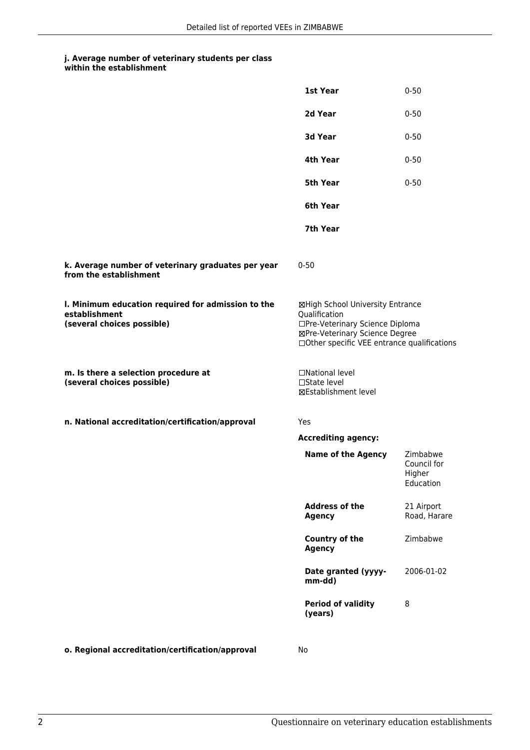## **j. Average number of veterinary students per class**

| within the establishment |
|--------------------------|
|                          |

|                                                                                                   | 1st Year                                                                                                                                                              | $0 - 50$                                       |
|---------------------------------------------------------------------------------------------------|-----------------------------------------------------------------------------------------------------------------------------------------------------------------------|------------------------------------------------|
|                                                                                                   | 2d Year                                                                                                                                                               | $0 - 50$                                       |
|                                                                                                   | 3d Year                                                                                                                                                               | $0 - 50$                                       |
|                                                                                                   | 4th Year                                                                                                                                                              | $0 - 50$                                       |
|                                                                                                   | 5th Year                                                                                                                                                              | $0 - 50$                                       |
|                                                                                                   | 6th Year                                                                                                                                                              |                                                |
|                                                                                                   | 7th Year                                                                                                                                                              |                                                |
| k. Average number of veterinary graduates per year<br>from the establishment                      | $0 - 50$                                                                                                                                                              |                                                |
| I. Minimum education required for admission to the<br>establishment<br>(several choices possible) | ⊠High School University Entrance<br>Qualification<br>□Pre-Veterinary Science Diploma<br>⊠Pre-Veterinary Science Degree<br>□Other specific VEE entrance qualifications |                                                |
| m. Is there a selection procedure at<br>(several choices possible)                                | □National level<br>$\Box$ State level<br>⊠Establishment level                                                                                                         |                                                |
| n. National accreditation/certification/approval                                                  | Yes                                                                                                                                                                   |                                                |
|                                                                                                   | <b>Accrediting agency:</b>                                                                                                                                            |                                                |
|                                                                                                   | <b>Name of the Agency</b>                                                                                                                                             | Zimbabwe<br>Council for<br>Higher<br>Education |
|                                                                                                   | <b>Address of the</b><br><b>Agency</b>                                                                                                                                | 21 Airport<br>Road, Harare                     |
|                                                                                                   | <b>Country of the</b><br><b>Agency</b>                                                                                                                                | Zimbabwe                                       |
|                                                                                                   | Date granted (yyyy-<br>mm-dd)                                                                                                                                         | 2006-01-02                                     |
|                                                                                                   | <b>Period of validity</b><br>(years)                                                                                                                                  | 8                                              |
| o. Regional accreditation/certification/approval                                                  | No                                                                                                                                                                    |                                                |